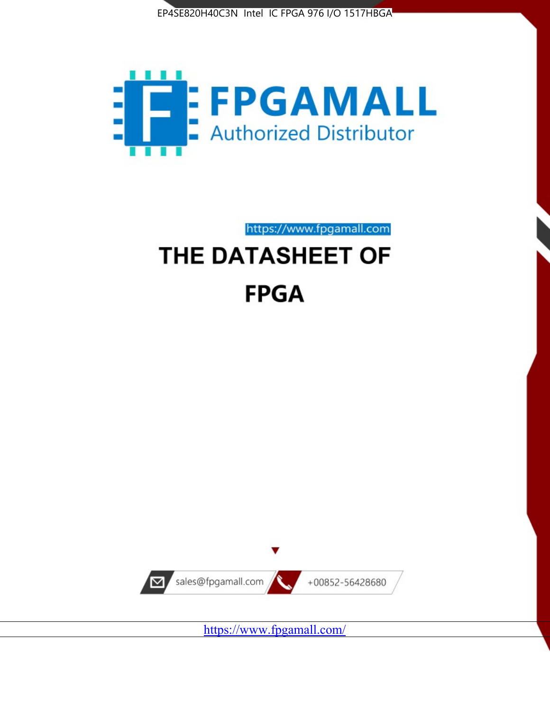



https://www.fpgamall.com

# THE DATASHEET OF **FPGA**



<https://www.fpgamall.com/>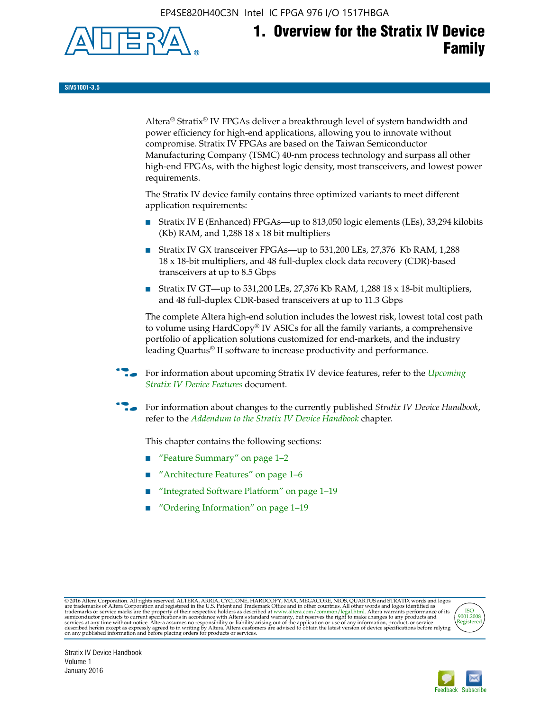EP4SE820H40C3N Intel IC FPGA 976 I/O 1517HBGA



**SIV51001-3.5**

Altera® Stratix® IV FPGAs deliver a breakthrough level of system bandwidth and power efficiency for high-end applications, allowing you to innovate without compromise. Stratix IV FPGAs are based on the Taiwan Semiconductor Manufacturing Company (TSMC) 40-nm process technology and surpass all other high-end FPGAs, with the highest logic density, most transceivers, and lowest power requirements.

The Stratix IV device family contains three optimized variants to meet different application requirements:

- Stratix IV E (Enhanced) FPGAs—up to 813,050 logic elements (LEs), 33,294 kilobits (Kb) RAM, and 1,288 18 x 18 bit multipliers
- Stratix IV GX transceiver FPGAs—up to 531,200 LEs, 27,376 Kb RAM, 1,288 18 x 18-bit multipliers, and 48 full-duplex clock data recovery (CDR)-based transceivers at up to 8.5 Gbps
- Stratix IV GT—up to 531,200 LEs, 27,376 Kb RAM, 1,288 18 x 18-bit multipliers, and 48 full-duplex CDR-based transceivers at up to 11.3 Gbps

The complete Altera high-end solution includes the lowest risk, lowest total cost path to volume using HardCopy® IV ASICs for all the family variants, a comprehensive portfolio of application solutions customized for end-markets, and the industry leading Quartus® II software to increase productivity and performance.

f For information about upcoming Stratix IV device features, refer to the *[Upcoming](http://www.altera.com/literature/hb/stratix-iv/uf01001.pdf?GSA_pos=2&WT.oss_r=1&WT.oss=upcoming)  [Stratix IV Device Features](http://www.altera.com/literature/hb/stratix-iv/uf01001.pdf?GSA_pos=2&WT.oss_r=1&WT.oss=upcoming)* document.

f For information about changes to the currently published *Stratix IV Device Handbook*, refer to the *[Addendum to the Stratix IV Device Handbook](http://www.altera.com/literature/hb/stratix-iv/stx4_siv54002.pdf)* chapter.

This chapter contains the following sections:

- "Feature Summary" on page 1–2
- "Architecture Features" on page 1–6
- "Integrated Software Platform" on page 1–19
- "Ordering Information" on page 1–19

@2016 Altera Corporation. All rights reserved. ALTERA, ARRIA, CYCLONE, HARDCOPY, MAX, MEGACORE, NIOS, QUARTUS and STRATIX words and logos are trademarks of Altera Corporation and registered in the U.S. Patent and Trademark



Stratix IV Device Handbook Volume 1 January 2016

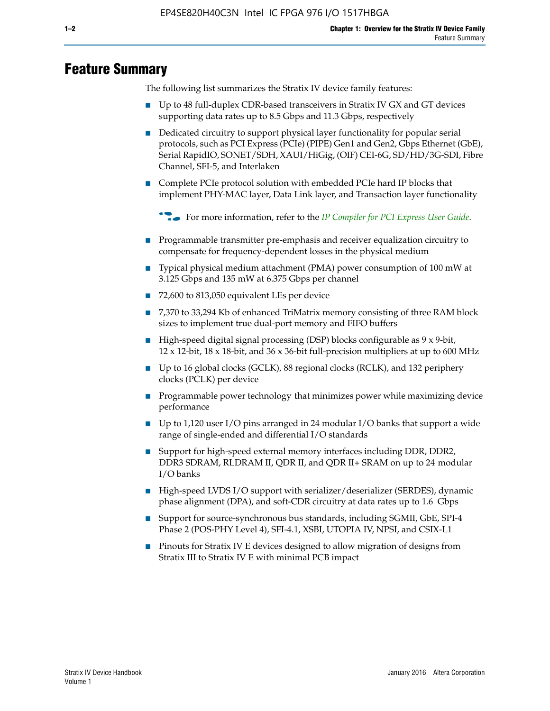# **Feature Summary**

The following list summarizes the Stratix IV device family features:

- Up to 48 full-duplex CDR-based transceivers in Stratix IV GX and GT devices supporting data rates up to 8.5 Gbps and 11.3 Gbps, respectively
- Dedicated circuitry to support physical layer functionality for popular serial protocols, such as PCI Express (PCIe) (PIPE) Gen1 and Gen2, Gbps Ethernet (GbE), Serial RapidIO, SONET/SDH, XAUI/HiGig, (OIF) CEI-6G, SD/HD/3G-SDI, Fibre Channel, SFI-5, and Interlaken
- Complete PCIe protocol solution with embedded PCIe hard IP blocks that implement PHY-MAC layer, Data Link layer, and Transaction layer functionality

**For more information, refer to the** *[IP Compiler for PCI Express User Guide](http://www.altera.com/literature/ug/ug_pci_express.pdf)***.** 

- Programmable transmitter pre-emphasis and receiver equalization circuitry to compensate for frequency-dependent losses in the physical medium
- Typical physical medium attachment (PMA) power consumption of 100 mW at 3.125 Gbps and 135 mW at 6.375 Gbps per channel
- 72,600 to 813,050 equivalent LEs per device
- 7,370 to 33,294 Kb of enhanced TriMatrix memory consisting of three RAM block sizes to implement true dual-port memory and FIFO buffers
- High-speed digital signal processing (DSP) blocks configurable as 9 x 9-bit,  $12 \times 12$ -bit,  $18 \times 18$ -bit, and  $36 \times 36$ -bit full-precision multipliers at up to 600 MHz
- Up to 16 global clocks (GCLK), 88 regional clocks (RCLK), and 132 periphery clocks (PCLK) per device
- Programmable power technology that minimizes power while maximizing device performance
- Up to 1,120 user I/O pins arranged in 24 modular I/O banks that support a wide range of single-ended and differential I/O standards
- Support for high-speed external memory interfaces including DDR, DDR2, DDR3 SDRAM, RLDRAM II, QDR II, and QDR II+ SRAM on up to 24 modular I/O banks
- High-speed LVDS I/O support with serializer/deserializer (SERDES), dynamic phase alignment (DPA), and soft-CDR circuitry at data rates up to 1.6 Gbps
- Support for source-synchronous bus standards, including SGMII, GbE, SPI-4 Phase 2 (POS-PHY Level 4), SFI-4.1, XSBI, UTOPIA IV, NPSI, and CSIX-L1
- Pinouts for Stratix IV E devices designed to allow migration of designs from Stratix III to Stratix IV E with minimal PCB impact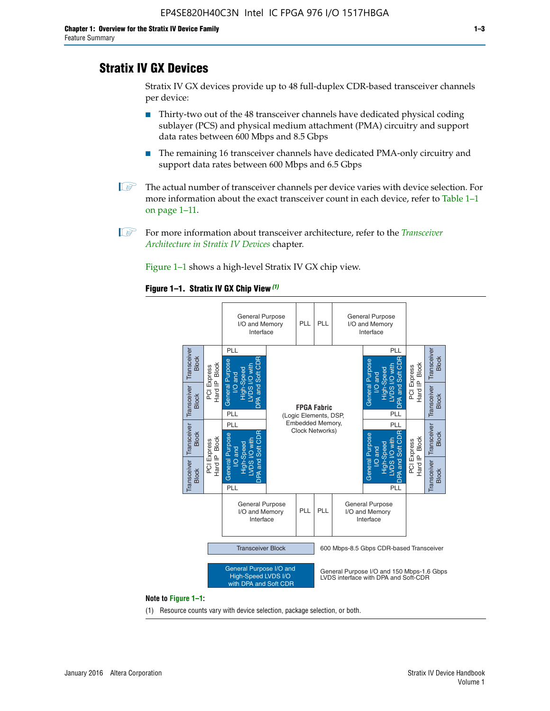# **Stratix IV GX Devices**

Stratix IV GX devices provide up to 48 full-duplex CDR-based transceiver channels per device:

- Thirty-two out of the 48 transceiver channels have dedicated physical coding sublayer (PCS) and physical medium attachment (PMA) circuitry and support data rates between 600 Mbps and 8.5 Gbps
- The remaining 16 transceiver channels have dedicated PMA-only circuitry and support data rates between 600 Mbps and 6.5 Gbps
- **1 The actual number of transceiver channels per device varies with device selection. For** more information about the exact transceiver count in each device, refer to Table 1–1 on page 1–11.
- 1 For more information about transceiver architecture, refer to the *[Transceiver](http://www.altera.com/literature/hb/stratix-iv/stx4_siv52001.pdf)  [Architecture in Stratix IV Devices](http://www.altera.com/literature/hb/stratix-iv/stx4_siv52001.pdf)* chapter.

Figure 1–1 shows a high-level Stratix IV GX chip view.

#### **Figure 1–1. Stratix IV GX Chip View** *(1)*



#### **Note to Figure 1–1:**

(1) Resource counts vary with device selection, package selection, or both.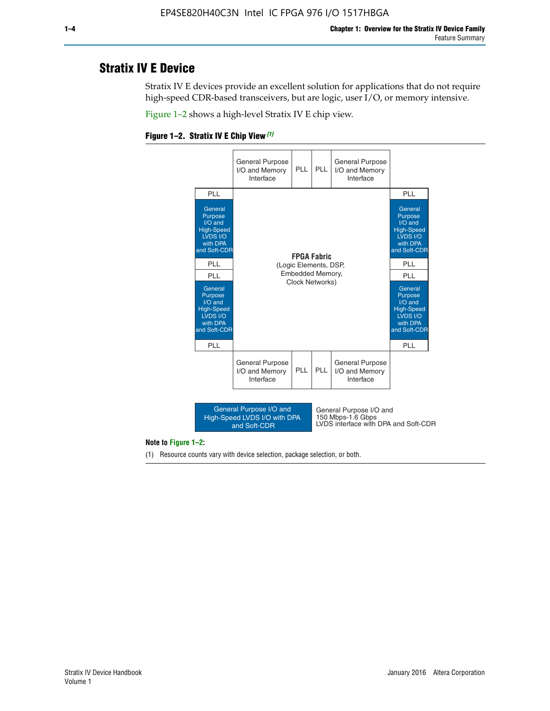# **Stratix IV E Device**

Stratix IV E devices provide an excellent solution for applications that do not require high-speed CDR-based transceivers, but are logic, user I/O, or memory intensive.

Figure 1–2 shows a high-level Stratix IV E chip view.





#### **Note to Figure 1–2:**

(1) Resource counts vary with device selection, package selection, or both.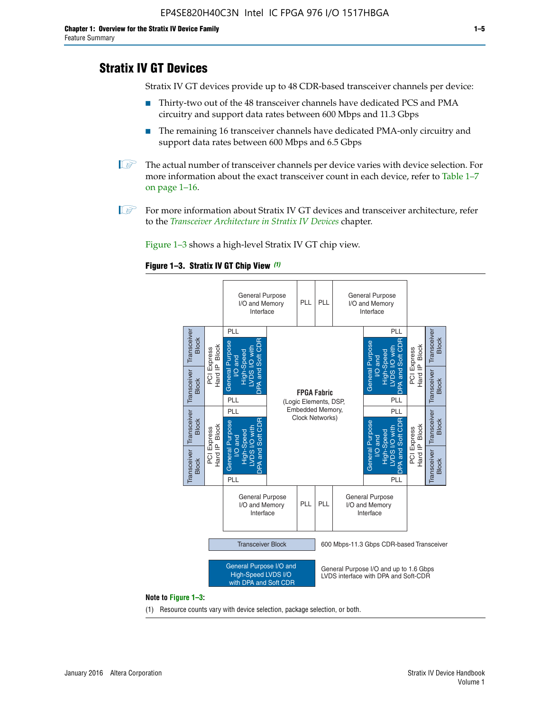# **Stratix IV GT Devices**

Stratix IV GT devices provide up to 48 CDR-based transceiver channels per device:

- Thirty-two out of the 48 transceiver channels have dedicated PCS and PMA circuitry and support data rates between 600 Mbps and 11.3 Gbps
- The remaining 16 transceiver channels have dedicated PMA-only circuitry and support data rates between 600 Mbps and 6.5 Gbps
- **1** The actual number of transceiver channels per device varies with device selection. For more information about the exact transceiver count in each device, refer to Table 1–7 on page 1–16.
- $\mathbb{I}$  For more information about Stratix IV GT devices and transceiver architecture, refer to the *[Transceiver Architecture in Stratix IV Devices](http://www.altera.com/literature/hb/stratix-iv/stx4_siv52001.pdf)* chapter.

Figure 1–3 shows a high-level Stratix IV GT chip view.

#### **Figure 1–3. Stratix IV GT Chip View** *(1)*



(1) Resource counts vary with device selection, package selection, or both.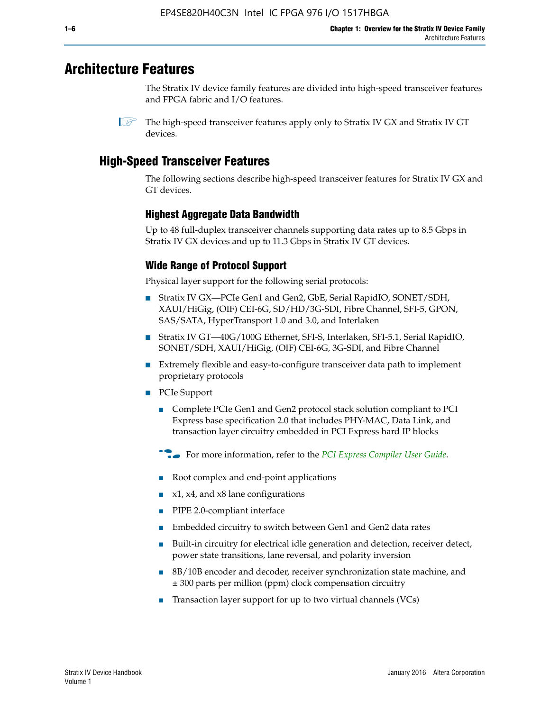# **Architecture Features**

The Stratix IV device family features are divided into high-speed transceiver features and FPGA fabric and I/O features.

 $\mathbb{I}$  The high-speed transceiver features apply only to Stratix IV GX and Stratix IV GT devices.

# **High-Speed Transceiver Features**

The following sections describe high-speed transceiver features for Stratix IV GX and GT devices.

# **Highest Aggregate Data Bandwidth**

Up to 48 full-duplex transceiver channels supporting data rates up to 8.5 Gbps in Stratix IV GX devices and up to 11.3 Gbps in Stratix IV GT devices.

# **Wide Range of Protocol Support**

Physical layer support for the following serial protocols:

- Stratix IV GX—PCIe Gen1 and Gen2, GbE, Serial RapidIO, SONET/SDH, XAUI/HiGig, (OIF) CEI-6G, SD/HD/3G-SDI, Fibre Channel, SFI-5, GPON, SAS/SATA, HyperTransport 1.0 and 3.0, and Interlaken
- Stratix IV GT—40G/100G Ethernet, SFI-S, Interlaken, SFI-5.1, Serial RapidIO, SONET/SDH, XAUI/HiGig, (OIF) CEI-6G, 3G-SDI, and Fibre Channel
- Extremely flexible and easy-to-configure transceiver data path to implement proprietary protocols
- PCIe Support
	- Complete PCIe Gen1 and Gen2 protocol stack solution compliant to PCI Express base specification 2.0 that includes PHY-MAC, Data Link, and transaction layer circuitry embedded in PCI Express hard IP blocks
	- **For more information, refer to the [PCI Express Compiler User Guide](http://www.altera.com/literature/ug/ug_pci_express.pdf).**
	- Root complex and end-point applications
	- $x1, x4,$  and  $x8$  lane configurations
	- PIPE 2.0-compliant interface
	- Embedded circuitry to switch between Gen1 and Gen2 data rates
	- Built-in circuitry for electrical idle generation and detection, receiver detect, power state transitions, lane reversal, and polarity inversion
	- 8B/10B encoder and decoder, receiver synchronization state machine, and ± 300 parts per million (ppm) clock compensation circuitry
	- Transaction layer support for up to two virtual channels (VCs)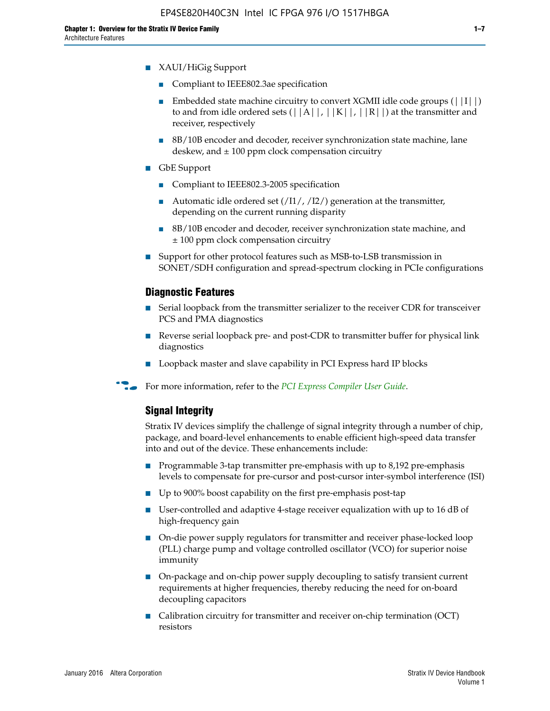- XAUI/HiGig Support
	- Compliant to IEEE802.3ae specification
	- **■** Embedded state machine circuitry to convert XGMII idle code groups  $(|11|)$ to and from idle ordered sets  $(|A|, |K|, |R|)$  at the transmitter and receiver, respectively
	- 8B/10B encoder and decoder, receiver synchronization state machine, lane deskew, and  $\pm 100$  ppm clock compensation circuitry
- GbE Support
	- Compliant to IEEE802.3-2005 specification
	- Automatic idle ordered set  $(111/112/1)$  generation at the transmitter, depending on the current running disparity
	- 8B/10B encoder and decoder, receiver synchronization state machine, and ± 100 ppm clock compensation circuitry
- Support for other protocol features such as MSB-to-LSB transmission in SONET/SDH configuration and spread-spectrum clocking in PCIe configurations

## **Diagnostic Features**

- Serial loopback from the transmitter serializer to the receiver CDR for transceiver PCS and PMA diagnostics
- Reverse serial loopback pre- and post-CDR to transmitter buffer for physical link diagnostics
- Loopback master and slave capability in PCI Express hard IP blocks
- **For more information, refer to the** *[PCI Express Compiler User Guide](http://www.altera.com/literature/ug/ug_pci_express.pdf)***.**

## **Signal Integrity**

Stratix IV devices simplify the challenge of signal integrity through a number of chip, package, and board-level enhancements to enable efficient high-speed data transfer into and out of the device. These enhancements include:

- Programmable 3-tap transmitter pre-emphasis with up to 8,192 pre-emphasis levels to compensate for pre-cursor and post-cursor inter-symbol interference (ISI)
- Up to 900% boost capability on the first pre-emphasis post-tap
- User-controlled and adaptive 4-stage receiver equalization with up to 16 dB of high-frequency gain
- On-die power supply regulators for transmitter and receiver phase-locked loop (PLL) charge pump and voltage controlled oscillator (VCO) for superior noise immunity
- On-package and on-chip power supply decoupling to satisfy transient current requirements at higher frequencies, thereby reducing the need for on-board decoupling capacitors
- Calibration circuitry for transmitter and receiver on-chip termination (OCT) resistors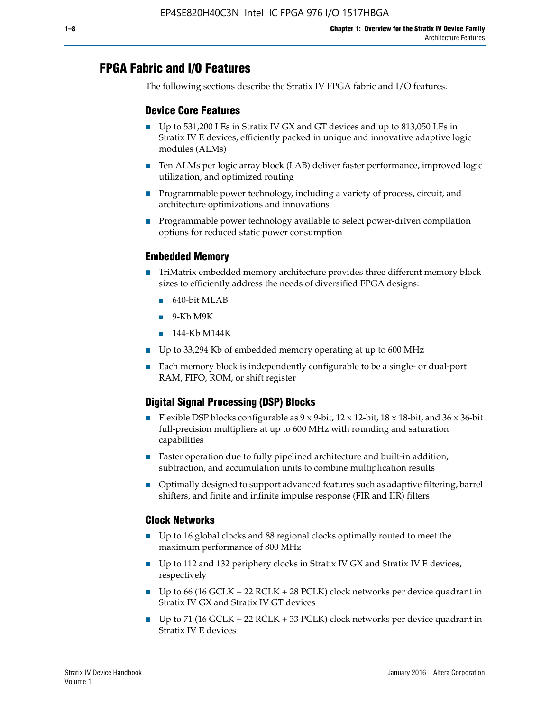# **FPGA Fabric and I/O Features**

The following sections describe the Stratix IV FPGA fabric and I/O features.

## **Device Core Features**

- Up to 531,200 LEs in Stratix IV GX and GT devices and up to 813,050 LEs in Stratix IV E devices, efficiently packed in unique and innovative adaptive logic modules (ALMs)
- Ten ALMs per logic array block (LAB) deliver faster performance, improved logic utilization, and optimized routing
- Programmable power technology, including a variety of process, circuit, and architecture optimizations and innovations
- Programmable power technology available to select power-driven compilation options for reduced static power consumption

## **Embedded Memory**

- TriMatrix embedded memory architecture provides three different memory block sizes to efficiently address the needs of diversified FPGA designs:
	- 640-bit MLAB
	- 9-Kb M9K
	- 144-Kb M144K
- Up to 33,294 Kb of embedded memory operating at up to 600 MHz
- Each memory block is independently configurable to be a single- or dual-port RAM, FIFO, ROM, or shift register

# **Digital Signal Processing (DSP) Blocks**

- Flexible DSP blocks configurable as  $9 \times 9$ -bit,  $12 \times 12$ -bit,  $18 \times 18$ -bit, and  $36 \times 36$ -bit full-precision multipliers at up to 600 MHz with rounding and saturation capabilities
- Faster operation due to fully pipelined architecture and built-in addition, subtraction, and accumulation units to combine multiplication results
- Optimally designed to support advanced features such as adaptive filtering, barrel shifters, and finite and infinite impulse response (FIR and IIR) filters

#### **Clock Networks**

- Up to 16 global clocks and 88 regional clocks optimally routed to meet the maximum performance of 800 MHz
- Up to 112 and 132 periphery clocks in Stratix IV GX and Stratix IV E devices, respectively
- Up to 66 (16 GCLK + 22 RCLK + 28 PCLK) clock networks per device quadrant in Stratix IV GX and Stratix IV GT devices
- Up to 71 (16 GCLK + 22 RCLK + 33 PCLK) clock networks per device quadrant in Stratix IV E devices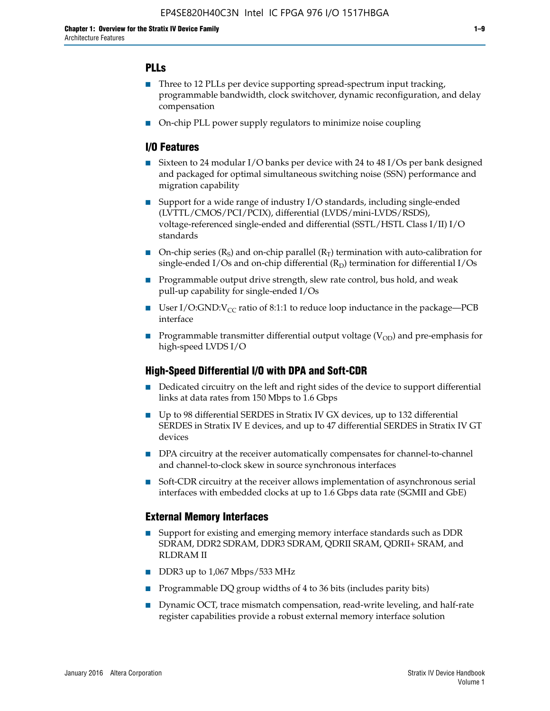# **PLLs**

- Three to 12 PLLs per device supporting spread-spectrum input tracking, programmable bandwidth, clock switchover, dynamic reconfiguration, and delay compensation
- On-chip PLL power supply regulators to minimize noise coupling

## **I/O Features**

- Sixteen to 24 modular I/O banks per device with 24 to 48 I/Os per bank designed and packaged for optimal simultaneous switching noise (SSN) performance and migration capability
- Support for a wide range of industry I/O standards, including single-ended (LVTTL/CMOS/PCI/PCIX), differential (LVDS/mini-LVDS/RSDS), voltage-referenced single-ended and differential (SSTL/HSTL Class I/II) I/O standards
- **O**n-chip series  $(R_S)$  and on-chip parallel  $(R_T)$  termination with auto-calibration for single-ended I/Os and on-chip differential  $(R_D)$  termination for differential I/Os
- Programmable output drive strength, slew rate control, bus hold, and weak pull-up capability for single-ended I/Os
- User I/O:GND: $V_{CC}$  ratio of 8:1:1 to reduce loop inductance in the package—PCB interface
- **■** Programmable transmitter differential output voltage ( $V_{OD}$ ) and pre-emphasis for high-speed LVDS I/O

#### **High-Speed Differential I/O with DPA and Soft-CDR**

- Dedicated circuitry on the left and right sides of the device to support differential links at data rates from 150 Mbps to 1.6 Gbps
- Up to 98 differential SERDES in Stratix IV GX devices, up to 132 differential SERDES in Stratix IV E devices, and up to 47 differential SERDES in Stratix IV GT devices
- DPA circuitry at the receiver automatically compensates for channel-to-channel and channel-to-clock skew in source synchronous interfaces
- Soft-CDR circuitry at the receiver allows implementation of asynchronous serial interfaces with embedded clocks at up to 1.6 Gbps data rate (SGMII and GbE)

#### **External Memory Interfaces**

- Support for existing and emerging memory interface standards such as DDR SDRAM, DDR2 SDRAM, DDR3 SDRAM, QDRII SRAM, QDRII+ SRAM, and RLDRAM II
- DDR3 up to 1,067 Mbps/533 MHz
- Programmable DQ group widths of 4 to 36 bits (includes parity bits)
- Dynamic OCT, trace mismatch compensation, read-write leveling, and half-rate register capabilities provide a robust external memory interface solution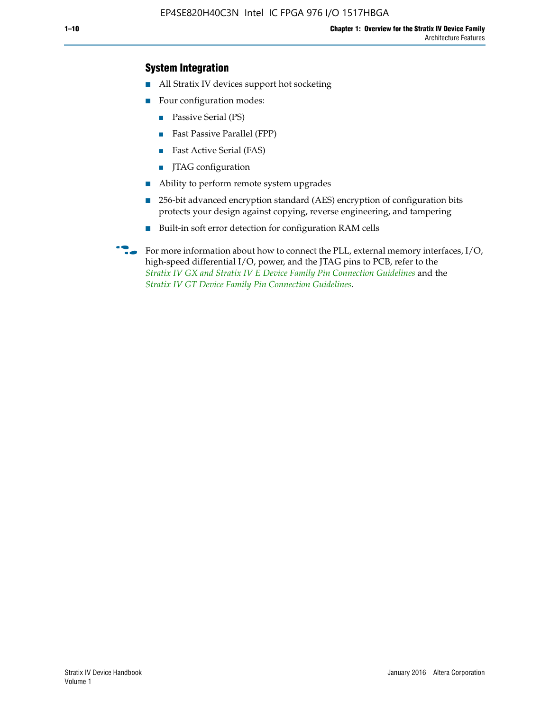# **System Integration**

- All Stratix IV devices support hot socketing
- Four configuration modes:
	- Passive Serial (PS)
	- Fast Passive Parallel (FPP)
	- Fast Active Serial (FAS)
	- JTAG configuration
- Ability to perform remote system upgrades
- 256-bit advanced encryption standard (AES) encryption of configuration bits protects your design against copying, reverse engineering, and tampering
- Built-in soft error detection for configuration RAM cells
- For more information about how to connect the PLL, external memory interfaces,  $I/O$ , high-speed differential I/O, power, and the JTAG pins to PCB, refer to the *[Stratix IV GX and Stratix IV E Device Family Pin Connection Guidelines](http://www.altera.com/literature/dp/stratix4/PCG-01005.pdf)* and the *[Stratix IV GT Device Family Pin Connection Guidelines](http://www.altera.com/literature/dp/stratix4/PCG-01006.pdf)*.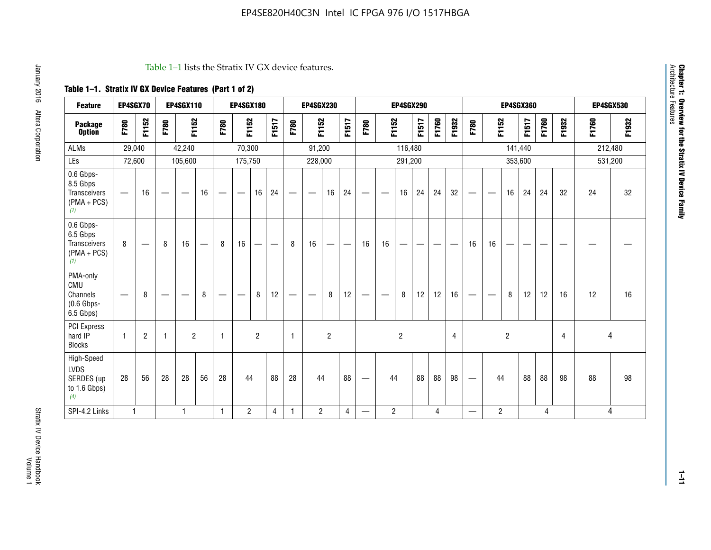#### Table 1–1 lists the Stratix IV GX device features.

# **Table 1–1. Stratix IV GX Device Features (Part 1 of 2)**

| <b>Feature</b>                                                 | EP4SGX70                 |                |                                  | <b>EP4SGX110</b>  |    |                                | <b>EP4SGX180</b>               |                |       |              | <b>EP4SGX230</b>         |                |       |                                 |                | <b>EP4SGX290</b> |       |       |                |                                 |                   | <b>EP4SGX360</b> |         |       |       |         | <b>EP4SGX530</b> |
|----------------------------------------------------------------|--------------------------|----------------|----------------------------------|-------------------|----|--------------------------------|--------------------------------|----------------|-------|--------------|--------------------------|----------------|-------|---------------------------------|----------------|------------------|-------|-------|----------------|---------------------------------|-------------------|------------------|---------|-------|-------|---------|------------------|
| <b>Package</b><br><b>Option</b>                                | F780                     | F1152          | F780                             | F1152             |    | F780                           | F1152                          |                | F1517 | F780         | F1152                    |                | F1517 | F780                            | F1152          |                  | F1517 | F1760 | F1932          | F780                            | F1152             |                  | F1517   | F1760 | F1932 | F1760   | F1932            |
| <b>ALMs</b>                                                    | 29,040                   |                |                                  | 42,240            |    |                                | 70,300                         |                |       |              | 91,200                   |                |       |                                 |                | 116,480          |       |       |                |                                 |                   |                  | 141,440 |       |       | 212,480 |                  |
| LEs                                                            | 72,600                   |                |                                  | 105,600           |    |                                | 175,750                        |                |       |              | 228,000                  |                |       |                                 |                | 291,200          |       |       |                |                                 |                   |                  | 353,600 |       |       |         | 531,200          |
| 0.6 Gbps-<br>8.5 Gbps<br>Transceivers<br>$(PMA + PCs)$<br>(1)  | $\overline{\phantom{0}}$ | 16             | $\hspace{0.05cm}$                | $\hspace{0.05cm}$ | 16 | $\qquad \qquad \longleftarrow$ | $\hspace{0.05cm}$              | 16             | 24    |              | $\overline{\phantom{a}}$ | 16             | 24    | —                               |                | 16               | 24    | 24    | 32             | $\overline{\phantom{0}}$        | $\hspace{0.05cm}$ | 16               | 24      | 24    | 32    | 24      | 32               |
| 0.6 Gbps-<br>6.5 Gbps<br>Transceivers<br>$(PMA + PCs)$<br>(1)  | 8                        |                | 8                                | 16                |    | 8                              | 16                             | ÷              |       | 8            | 16                       | —              |       | 16                              | 16             |                  |       |       |                | 16                              | 16                |                  |         |       |       |         |                  |
| PMA-only<br>CMU<br>Channels<br>$(0.6$ Gbps-<br>6.5 Gbps)       | $\overline{\phantom{0}}$ | 8              | $\overbrace{\phantom{12322111}}$ |                   | 8  | $\qquad \qquad \longleftarrow$ | $\qquad \qquad \longleftarrow$ | 8              | 12    |              |                          | 8              | 12    | $\hspace{0.1mm}-\hspace{0.1mm}$ |                | 8                | 12    | 12    | 16             | $\overline{\phantom{0}}$        | $\hspace{0.05cm}$ | 8                | 12      | 12    | 16    | 12      | 16               |
| <b>PCI Express</b><br>hard IP<br><b>Blocks</b>                 | $\mathbf{1}$             | $\overline{2}$ | $\mathbf 1$                      | $\overline{2}$    |    | $\mathbf{1}$                   |                                | $\overline{2}$ |       | $\mathbf{1}$ |                          | $\overline{c}$ |       |                                 |                | $\overline{c}$   |       |       | $\overline{4}$ |                                 |                   | $\overline{2}$   |         |       | 4     |         | 4                |
| High-Speed<br><b>LVDS</b><br>SERDES (up<br>to 1.6 Gbps)<br>(4) | 28                       | 56             | 28                               | 28                | 56 | 28                             | 44                             |                | 88    | 28           | 44                       |                | 88    | —                               | 44             |                  | 88    | 88    | 98             | $\hspace{0.1mm}-\hspace{0.1mm}$ | 44                |                  | 88      | 88    | 98    | 88      | 98               |
| SPI-4.2 Links                                                  | $\mathbf{1}$             |                |                                  | 1                 |    | $\mathbf{1}$                   | $\overline{c}$                 |                | 4     | 1            | $\overline{c}$           |                | 4     | —                               | $\overline{2}$ |                  |       | 4     |                | $\overline{\phantom{0}}$        | $\overline{2}$    |                  |         | 4     |       |         | 4                |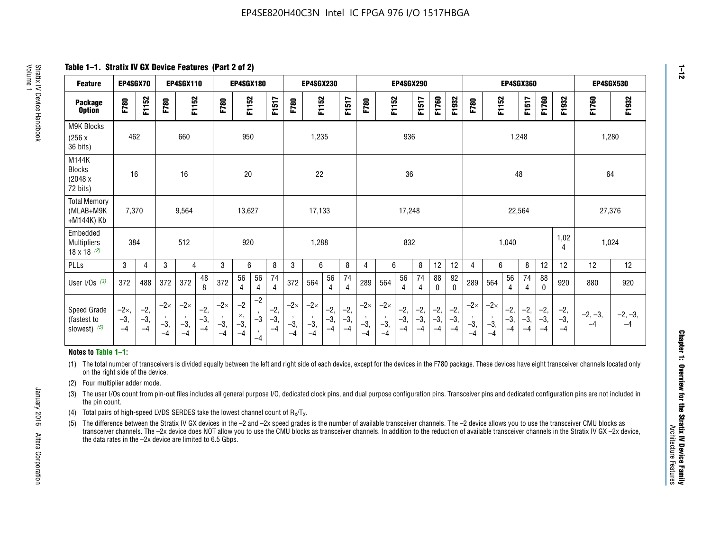**Table 1–1. Stratix IV GX Device Features (Part 2 of 2)**

| <b>Feature</b>                                       | EP4SGX70                |                        |                             | <b>EP4SGX110</b>            |                      |                             | <b>EP4SGX180</b>          |                                              |                        |                             | <b>EP4SGX230</b>            |                        |                      |                             |                             | EP4SGX290              |                      |                        |                        |                             |                             |                        | <b>EP4SGX360</b>     |                        |                        | <b>EP4SGX530</b>  |                   |
|------------------------------------------------------|-------------------------|------------------------|-----------------------------|-----------------------------|----------------------|-----------------------------|---------------------------|----------------------------------------------|------------------------|-----------------------------|-----------------------------|------------------------|----------------------|-----------------------------|-----------------------------|------------------------|----------------------|------------------------|------------------------|-----------------------------|-----------------------------|------------------------|----------------------|------------------------|------------------------|-------------------|-------------------|
| <b>Package</b><br><b>Option</b>                      | F780                    | F1152                  | F780                        | F1152                       |                      | F780                        | F1152                     |                                              | F1517                  | F780                        | F1152                       |                        | F1517                | F780                        | F1152                       |                        | F1517                | F1760                  | F1932                  | F780                        | F1152                       |                        | F1517                | F1760                  | F1932                  | F1760             | F1932             |
| M9K Blocks<br>(256x)<br>36 bits)                     | 462                     |                        |                             | 660                         |                      |                             | 950                       |                                              |                        |                             | 1,235                       |                        |                      |                             |                             | 936                    |                      |                        |                        |                             |                             | 1,248                  |                      |                        |                        | 1,280             |                   |
| M144K<br>Blocks<br>(2048 x<br>72 bits)               | 16                      |                        |                             | 16                          |                      |                             | 20                        |                                              |                        |                             | 22                          |                        |                      |                             |                             | 36                     |                      |                        |                        |                             |                             | 48                     |                      |                        |                        | 64                |                   |
| <b>Total Memory</b><br>(MLAB+M9K<br>+M144K) Kb       | 7,370                   |                        |                             | 9,564                       |                      |                             | 13,627                    |                                              |                        |                             | 17,133                      |                        |                      |                             |                             | 17,248                 |                      |                        |                        |                             |                             | 22,564                 |                      |                        |                        | 27,376            |                   |
| Embedded<br><b>Multipliers</b><br>$18 \times 18$ (2) | 384                     |                        |                             | 512                         |                      |                             | 920                       |                                              |                        |                             | 1,288                       |                        |                      |                             |                             | 832                    |                      |                        |                        |                             |                             | 1,040                  |                      |                        | 1,02<br>4              | 1,024             |                   |
| PLLs                                                 | 3                       | 4                      | 3                           | 4                           |                      | 3                           | 6                         |                                              | 8                      | 3                           | 6                           |                        | 8                    | 4                           | 6                           |                        | 8                    | 12                     | 12                     | 4                           | 6                           |                        | 8                    | 12                     | 12                     | 12                | 12                |
| User I/Os $(3)$                                      | 372                     | 488                    | 372                         | 372                         | 48<br>8              | 372                         | 56<br>4                   | 56<br>4                                      | 74<br>$\overline{4}$   | 372                         | 564                         | 56<br>4                | 74<br>$\overline{4}$ | 289                         | 564                         | 56<br>4                | 74<br>4              | 88<br>0                | 92<br>$\mathbf 0$      | 289                         | 564                         | 56<br>4                | 74<br>4              | 88<br>0                | 920                    | 880               | 920               |
| Speed Grade<br>(fastest to<br>slowest) (5)           | $-2x,$<br>$-3,$<br>$-4$ | $-2,$<br>$-3,$<br>$-4$ | $-2\times$<br>$-3,$<br>$-4$ | $-2\times$<br>$-3,$<br>$-4$ | $-2,$<br>-3,<br>$-4$ | $-2\times$<br>$-3,$<br>$-4$ | $-2$<br>×,<br>$-3,$<br>-4 | $-2$<br>$\,$<br>$-3$<br>$\mathbf{r}$<br>$-4$ | $-2,$<br>$-3,$<br>$-4$ | $-2\times$<br>$-3,$<br>$-4$ | $-2\times$<br>$-3,$<br>$-4$ | $-2,$<br>$-3,$<br>$-4$ | $-2,$<br>-3,<br>$-4$ | $-2\times$<br>$-3,$<br>$-4$ | $-2\times$<br>$-3,$<br>$-4$ | $-2,$<br>$-3,$<br>$-4$ | $-2,$<br>-3,<br>$-4$ | $-2,$<br>$-3,$<br>$-4$ | $-2,$<br>$-3,$<br>$-4$ | $-2\times$<br>$-3,$<br>$-4$ | $-2\times$<br>$-3,$<br>$-4$ | $-2,$<br>$-3,$<br>$-4$ | $-2,$<br>-3,<br>$-4$ | $-2,$<br>$-3,$<br>$-4$ | $-2,$<br>$-3,$<br>$-4$ | $-2, -3,$<br>$-4$ | $-2, -3,$<br>$-4$ |

#### **Notes to Table 1–1:**

(1) The total number of transceivers is divided equally between the left and right side of each device, except for the devices in the F780 package. These devices have eight transceiver channels located only on the right side of the device.

(2) Four multiplier adder mode.

(3) The user I/Os count from pin-out files includes all general purpose I/O, dedicated clock pins, and dual purpose configuration pins. Transceiver pins and dedicated configuration pins are not included in the pin count.

- (4) Total pairs of high-speed LVDS SERDES take the lowest channel count of  $R_X/T_X$ .
- (5) The difference between the Stratix IV GX devices in the –2 and –2x speed grades is the number of available transceiver channels. The –2 device allows you to use the transceiver CMU blocks as transceiver channels. The –2x device does NOT allow you to use the CMU blocks as transceiver channels. In addition to the reduction of available transceiver channels in the Stratix IV GX –2x device, the data rates in the –2x device are limited to 6.5 Gbps.

January 2016 Altera Corporation

Altera Corporation

January 2016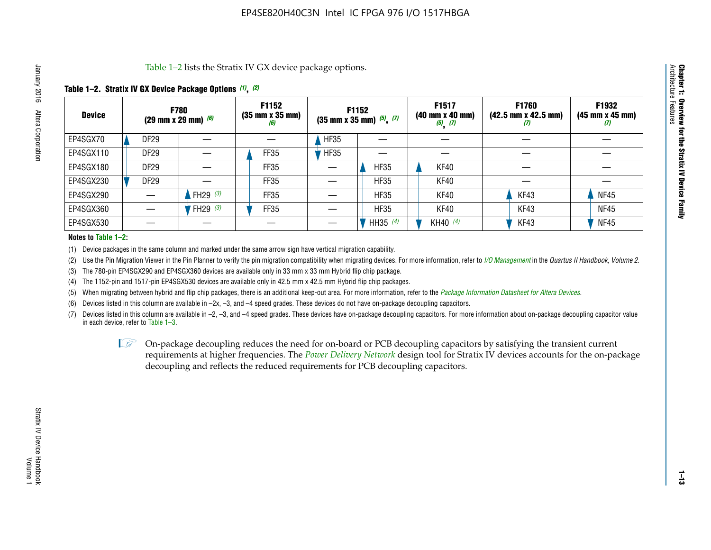Table 1–2 lists the Stratix IV GX device package options.

# **Table 1–2. Stratix IV GX Device Package Options** *(1)***,** *(2)*

| <b>Device</b> | <b>F780</b><br>(29 mm x 29 mm) $(6)$ |            | F1152<br>$(35 \, \text{mm} \times 35 \, \text{mm})$<br>(6) |             | <b>F1152</b><br>$(35$ mm x 35 mm) $(5)$ , $(7)$ | F1517<br>$(40 \, \text{mm} \times 40 \, \text{mm})$<br>$(5)$ $(7)$ | <b>F1760</b><br>$(42.5 \text{ mm} \times 42.5 \text{ mm})$<br>Ш | F1932<br>$(45 \, \text{mm} \times 45 \, \text{mm})$<br>(7) |
|---------------|--------------------------------------|------------|------------------------------------------------------------|-------------|-------------------------------------------------|--------------------------------------------------------------------|-----------------------------------------------------------------|------------------------------------------------------------|
| EP4SGX70      | <b>DF29</b>                          |            |                                                            | <b>HF35</b> |                                                 |                                                                    |                                                                 |                                                            |
| EP4SGX110     | DF <sub>29</sub>                     |            | FF35                                                       | <b>HF35</b> |                                                 |                                                                    |                                                                 |                                                            |
| EP4SGX180     | DF <sub>29</sub>                     |            | FF35                                                       |             | <b>HF35</b>                                     | KF40                                                               |                                                                 |                                                            |
| EP4SGX230     | DF <sub>29</sub>                     |            | FF35                                                       |             | <b>HF35</b>                                     | KF40                                                               |                                                                 |                                                            |
| EP4SGX290     |                                      | FH29 $(3)$ | FF35                                                       |             | <b>HF35</b>                                     | KF40                                                               | KF43                                                            | <b>NF45</b>                                                |
| EP4SGX360     |                                      | FH29 (3)   | FF35                                                       |             | <b>HF35</b>                                     | KF40                                                               | KF43                                                            | <b>NF45</b>                                                |
| EP4SGX530     |                                      |            |                                                            |             | HH35 $(4)$                                      | KH40 $(4)$                                                         | KF43                                                            | <b>NF45</b>                                                |

#### **Notes to Table 1–2:**

(1) Device packages in the same column and marked under the same arrow sign have vertical migration capability.

(2) Use the Pin Migration Viewer in the Pin Planner to verify the pin migration compatibility when migrating devices. For more information, refer to *[I/O Management](http://www.altera.com/literature/hb/qts/qts_qii52013.pdf)* in the *Quartus II Handbook, Volume 2*.

(3) The 780-pin EP4SGX290 and EP4SGX360 devices are available only in 33 mm x 33 mm Hybrid flip chip package.

(4) The 1152-pin and 1517-pin EP4SGX530 devices are available only in 42.5 mm x 42.5 mm Hybrid flip chip packages.

(5) When migrating between hybrid and flip chip packages, there is an additional keep-out area. For more information, refer to the *[Package Information Datasheet for Altera Devices](http://www.altera.com/literature/ds/dspkg.pdf)*.

(6) Devices listed in this column are available in –2x, –3, and –4 speed grades. These devices do not have on-package decoupling capacitors.

(7) Devices listed in this column are available in –2, –3, and –4 speed grades. These devices have on-package decoupling capacitors. For more information about on-package decoupling capacitor value in each device, refer to Table 1–3.

 $\mathbb{L}$ s On-package decoupling reduces the need for on-board or PCB decoupling capacitors by satisfying the transient current requirements at higher frequencies. The *[Power Delivery Network](http://www.altera.com/literature/ug/pdn_tool_stxiv.zip)* design tool for Stratix IV devices accounts for the on-package decoupling and reflects the reduced requirements for PCB decoupling capacitors.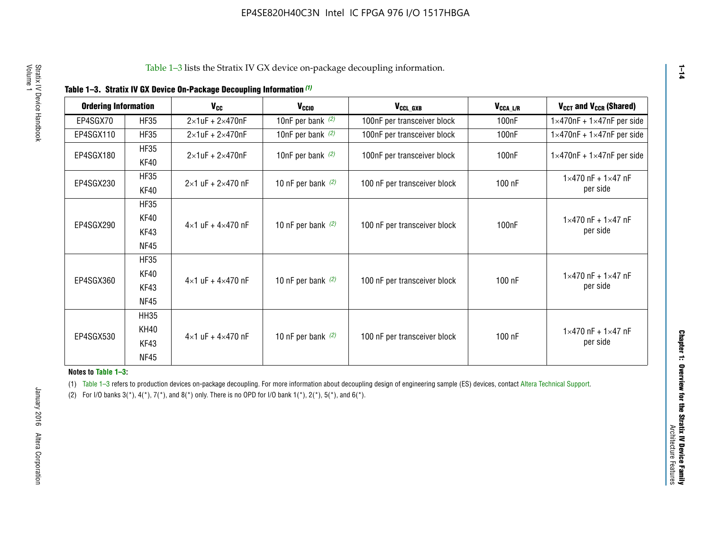|  | Table 1-3. Stratix IV GX Device On-Package Decoupling Information (1) |  |
|--|-----------------------------------------------------------------------|--|
|--|-----------------------------------------------------------------------|--|

| <b>Ordering Information</b> |                            | <b>V<sub>cc</sub></b>               | V <sub>ccio</sub>    | V <sub>CCL GXB</sub>         | V <sub>CCA_L/R</sub> | V <sub>CCT</sub> and V <sub>CCR</sub> (Shared)   |
|-----------------------------|----------------------------|-------------------------------------|----------------------|------------------------------|----------------------|--------------------------------------------------|
| EP4SGX70                    | <b>HF35</b>                | $2\times1$ uF + $2\times470$ nF     | 10nF per bank $(2)$  | 100nF per transceiver block  | 100 <sub>n</sub> F   | $1 \times 470$ nF + $1 \times 47$ nF per side    |
| EP4SGX110                   | <b>HF35</b>                | $2\times1$ uF + $2\times470$ nF     | 10nF per bank $(2)$  | 100nF per transceiver block  | 100 <sub>n</sub> F   | $1\times470$ nF + $1\times47$ nF per side        |
| EP4SGX180                   | <b>HF35</b><br>KF40        | $2\times1$ uF + $2\times470$ nF     | 10nF per bank $(2)$  | 100nF per transceiver block  | 100 <sub>n</sub> F   | $1 \times 470$ nF + $1 \times 47$ nF per side    |
| EP4SGX230                   | <b>HF35</b><br>KF40        | $2 \times 1$ uF + $2 \times 470$ nF | 10 nF per bank $(2)$ | 100 nF per transceiver block | 100 nF               | $1 \times 470$ nF + $1 \times 47$ nF<br>per side |
|                             | <b>HF35</b><br><b>KF40</b> |                                     |                      |                              |                      | $1 \times 470$ nF + $1 \times 47$ nF             |
| EP4SGX290                   | KF43<br><b>NF45</b>        | $4 \times 1$ uF + $4 \times 470$ nF | 10 nF per bank $(2)$ | 100 nF per transceiver block | 100nF                | per side                                         |
|                             | <b>HF35</b><br>KF40        |                                     |                      |                              |                      | $1 \times 470$ nF + $1 \times 47$ nF             |
| EP4SGX360                   | KF43<br><b>NF45</b>        | $4 \times 1$ uF + $4 \times 470$ nF | 10 nF per bank $(2)$ | 100 nF per transceiver block | 100 nF               | per side                                         |
|                             | <b>HH35</b>                |                                     |                      |                              |                      |                                                  |
| EP4SGX530                   | <b>KH40</b><br>KF43        | $4 \times 1$ uF + $4 \times 470$ nF | 10 nF per bank $(2)$ | 100 nF per transceiver block | 100 nF               | $1 \times 470$ nF + $1 \times 47$ nF<br>per side |
|                             | <b>NF45</b>                |                                     |                      |                              |                      |                                                  |

**Notes to Table 1–3:**

(1) Table 1-3 refers to production devices on-package decoupling. For more information about decoupling design of engineering sample (ES) devices, contact [Altera Technical Support](http://mysupport.altera.com/eservice/login.asp).

(2) For I/O banks  $3(*)$ ,  $4(*)$ ,  $7(*)$ , and  $8(*)$  only. There is no OPD for I/O bank  $1(*)$ ,  $2(*)$ ,  $5(*)$ , and  $6(*)$ .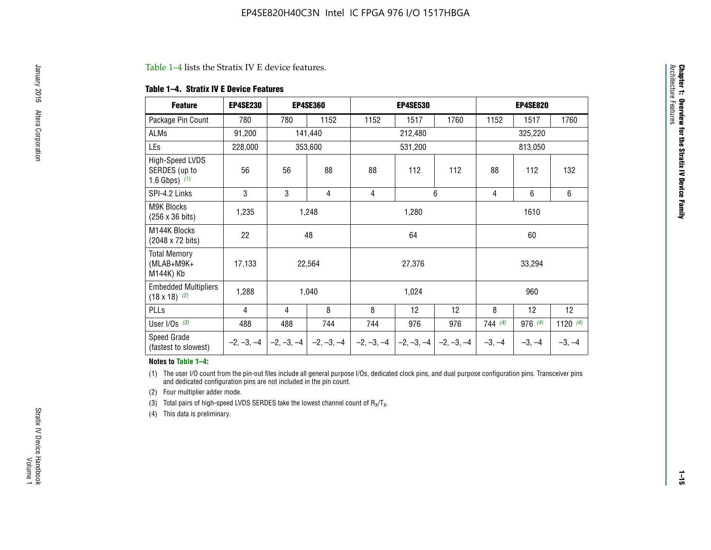#### Table 1–4 lists the Stratix IV E device features.

#### **Table 1–4. Stratix IV E Device Features**

| <b>Feature</b>                                      | <b>EP4SE230</b> |     | <b>EP4SE360</b>                          |              | <b>EP4SE530</b> |              |          | <b>EP4SE820</b> |            |
|-----------------------------------------------------|-----------------|-----|------------------------------------------|--------------|-----------------|--------------|----------|-----------------|------------|
| Package Pin Count                                   | 780             | 780 | 1152                                     | 1152         | 1517            | 1760         | 1152     | 1517            | 1760       |
| ALMs                                                | 91,200          |     | 141,440                                  |              | 212,480         |              |          | 325,220         |            |
| LEs                                                 | 228,000         |     | 353,600                                  |              | 531,200         |              | 813,050  |                 |            |
| High-Speed LVDS<br>SERDES (up to<br>1.6 Gbps) $(1)$ | 56              | 56  | 88                                       | 88           | 112             | 112          | 88       | 112             | 132        |
| SPI-4.2 Links                                       | 3               | 3   | 4                                        | 6<br>4       |                 |              | 4        | 6               | 6          |
| <b>M9K Blocks</b><br>(256 x 36 bits)                | 1,235           |     | 1,248                                    |              | 1,280           |              |          | 1610            |            |
| M144K Blocks<br>(2048 x 72 bits)                    | 22              |     | 48                                       |              | 64              |              | 60       |                 |            |
| <b>Total Memory</b><br>$(MLAB+M9K+$<br>M144K) Kb    | 17,133          |     | 22,564                                   |              | 27,376          |              |          | 33,294          |            |
| <b>Embedded Multipliers</b><br>$(18 \times 18)$ (2) | 1,288           |     | 1,040                                    |              | 1,024           |              |          | 960             |            |
| PLLs                                                | 4               | 4   | 8                                        | 8            | 12              | 12           | 8        | 12              | 12         |
| User I/Os $(3)$                                     | 488             | 488 | 744                                      | 744          | 976             | 976          | 744 (4)  | 976 (4)         | 1120 $(4)$ |
| Speed Grade<br>(fastest to slowest)                 |                 |     | $-2, -3, -4$ $ -2, -3, -4$ $ -2, -3, -4$ | $-2, -3, -4$ | $-2, -3, -4$    | $-2, -3, -4$ | $-3, -4$ | $-3, -4$        | $-3, -4$   |

#### **Notes to Table 1–4:**

(1) The user I/O count from the pin-out files include all general purpose I/Os, dedicated clock pins, and dual purpose configuration pins. Transceiver pins and dedicated configuration pins are not included in the pin count.

(2) Four multiplier adder mode.

(3) Total pairs of high-speed LVDS SERDES take the lowest channel count of  $R_X/T_X$ .

(4) This data is preliminary.

**Chapter 1: Overview for the Stratix IV Device Family**

**Chapter 1: Overview for the Stratix IV Device Family**<br>Architecture Faatures

Architecture Features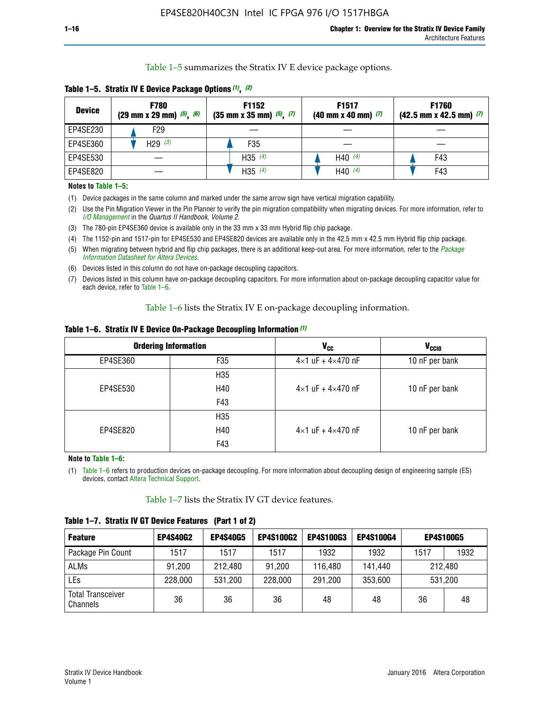Table 1–5 summarizes the Stratix IV E device package options.

| <b>Device</b> | <b>F780</b><br>$(29 \text{ mm} \times 29 \text{ mm})$ $(5)$ , $(6)$ | F1152<br>$(35 \text{ mm} \times 35 \text{ mm})$ $(5)$ $(7)$ | F <sub>1517</sub><br>$(40 \text{ mm} \times 40 \text{ mm})$ (7) | <b>F1760</b><br>$(42.5$ mm x 42.5 mm) $(7)$ |  |  |
|---------------|---------------------------------------------------------------------|-------------------------------------------------------------|-----------------------------------------------------------------|---------------------------------------------|--|--|
| EP4SE230      | F <sub>29</sub>                                                     |                                                             |                                                                 |                                             |  |  |
| EP4SE360      | H29 $(3)$                                                           | F35                                                         |                                                                 |                                             |  |  |
| EP4SE530      |                                                                     | H35 $(4)$                                                   | H40 $(4)$                                                       | F43                                         |  |  |
| EP4SE820      |                                                                     | H35 $(4)$                                                   | H40 $(4)$                                                       | F43                                         |  |  |

**Table 1–5. Stratix IV E Device Package Options** *(1)***,** *(2)*

#### **Notes to Table 1–5:**

(1) Device packages in the same column and marked under the same arrow sign have vertical migration capability.

(2) Use the Pin Migration Viewer in the Pin Planner to verify the pin migration compatibility when migrating devices. For more information, refer to *[I/O Management](http://www.altera.com/literature/hb/qts/qts_qii52013.pdf)* in the *Quartus II Handbook, Volume 2*.

(3) The 780-pin EP4SE360 device is available only in the 33 mm x 33 mm Hybrid flip chip package.

(4) The 1152-pin and 1517-pin for EP4SE530 and EP4SE820 devices are available only in the 42.5 mm x 42.5 mm Hybrid flip chip package.

(5) When migrating between hybrid and flip chip packages, there is an additional keep-out area. For more information, refer to the *[Package](http://www.altera.com/literature/ds/dspkg.pdf)  [Information Datasheet for Altera Devices](http://www.altera.com/literature/ds/dspkg.pdf)*.

(6) Devices listed in this column do not have on-package decoupling capacitors.

(7) Devices listed in this column have on-package decoupling capacitors. For more information about on-package decoupling capacitor value for each device, refer to Table 1–6.

Table 1–6 lists the Stratix IV E on-package decoupling information.

| Table 1–6. Stratix IV E Device On-Package Decoupling Information (1) |  |  |  |  |  |
|----------------------------------------------------------------------|--|--|--|--|--|
|----------------------------------------------------------------------|--|--|--|--|--|

|          | <b>Ordering Information</b> | V <sub>cc</sub>                     | <b>V<sub>CCIO</sub></b> |  |  |
|----------|-----------------------------|-------------------------------------|-------------------------|--|--|
| EP4SE360 | F <sub>35</sub>             | $4 \times 1$ uF + $4 \times 470$ nF | 10 nF per bank          |  |  |
|          | H35                         |                                     |                         |  |  |
| EP4SE530 | H40                         | $4\times1$ uF + $4\times470$ nF     | 10 nF per bank          |  |  |
|          | F43                         |                                     |                         |  |  |
|          | H35                         |                                     |                         |  |  |
| EP4SE820 | H40                         | $4\times1$ uF + $4\times470$ nF     | 10 nF per bank          |  |  |
|          | F43                         |                                     |                         |  |  |

**Note to Table 1–6:**

(1) Table 1–6 refers to production devices on-package decoupling. For more information about decoupling design of engineering sample (ES) devices, contact [Altera Technical Support](http://mysupport.altera.com/eservice/login.asp).

Table 1–7 lists the Stratix IV GT device features.

| <b>Feature</b>                       | <b>EP4S40G2</b> | <b>EP4S40G5</b> | <b>EP4S100G2</b> | <b>EP4S100G3</b> | <b>EP4S100G4</b> | <b>EP4S100G5</b> |      |
|--------------------------------------|-----------------|-----------------|------------------|------------------|------------------|------------------|------|
| Package Pin Count                    | 1517            | 1517            | 1517             | 1932             | 1932             | 1517             | 1932 |
| <b>ALMs</b>                          | 91,200          | 212,480         | 91,200           | 116,480          | 141,440          | 212.480          |      |
| LEs                                  | 228,000         | 531,200         | 228,000          | 291,200          | 353,600          | 531,200          |      |
| <b>Total Transceiver</b><br>Channels | 36              | 36              | 36               | 48               | 48               | 36               | 48   |

**Table 1–7. Stratix IV GT Device Features (Part 1 of 2)**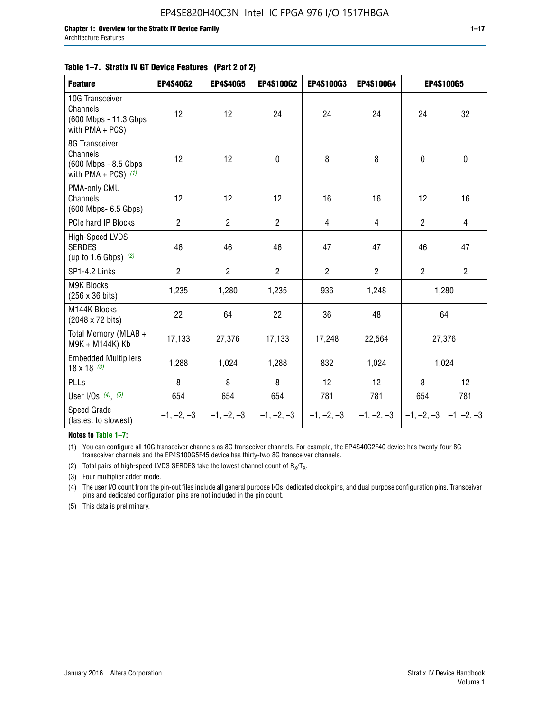#### **Table 1–7. Stratix IV GT Device Features (Part 2 of 2)**

| <b>Feature</b>                                                              | <b>EP4S40G2</b> | <b>EP4S40G5</b> | <b>EP4S100G2</b> | <b>EP4S100G3</b> | <b>EP4S100G4</b> |                | <b>EP4S100G5</b> |
|-----------------------------------------------------------------------------|-----------------|-----------------|------------------|------------------|------------------|----------------|------------------|
| 10G Transceiver<br>Channels<br>(600 Mbps - 11.3 Gbps<br>with PMA + PCS)     | 12              | 12              | 24               | 24               | 24               | 24             | 32               |
| 8G Transceiver<br>Channels<br>(600 Mbps - 8.5 Gbps<br>with PMA + PCS) $(1)$ | 12              | 12              | $\pmb{0}$        | 8                | 8                | 0              | 0                |
| PMA-only CMU<br>Channels<br>(600 Mbps- 6.5 Gbps)                            | 12              | 12              | 12               | 16               | 16               | 12             | 16               |
| PCIe hard IP Blocks                                                         | $\overline{2}$  | $\overline{2}$  | $\overline{2}$   | $\overline{4}$   | $\overline{4}$   | $\overline{2}$ | $\overline{4}$   |
| High-Speed LVDS<br><b>SERDES</b><br>(up to 1.6 Gbps) $(2)$                  | 46              | 46              | 46               | 47               | 47               | 46             | 47               |
| SP1-4.2 Links                                                               | $\overline{2}$  | $\overline{2}$  | $\overline{2}$   | $\overline{2}$   | $\overline{2}$   | $\overline{2}$ | $\overline{2}$   |
| <b>M9K Blocks</b><br>(256 x 36 bits)                                        | 1,235           | 1,280           | 1,235            | 936              | 1,248            |                | 1,280            |
| M144K Blocks<br>(2048 x 72 bits)                                            | 22              | 64              | 22               | 36               | 48               |                | 64               |
| Total Memory (MLAB +<br>M9K + M144K) Kb                                     | 17,133          | 27,376          | 17,133           | 17,248           | 22,564           |                | 27,376           |
| <b>Embedded Multipliers</b><br>$18 \times 18^{(3)}$                         | 1,288           | 1,024           | 1,288            | 832              | 1,024            |                | 1,024            |
| PLLs                                                                        | 8               | 8               | 8                | 12               | 12               | 8              | 12               |
| User I/Os $(4)$ , $(5)$                                                     | 654             | 654             | 654              | 781              | 781              | 654            | 781              |
| Speed Grade<br>(fastest to slowest)                                         | $-1, -2, -3$    | $-1, -2, -3$    | $-1, -2, -3$     | $-1, -2, -3$     | $-1, -2, -3$     | $-1, -2, -3$   | $-1, -2, -3$     |

**Notes to Table 1–7:**

(1) You can configure all 10G transceiver channels as 8G transceiver channels. For example, the EP4S40G2F40 device has twenty-four 8G transceiver channels and the EP4S100G5F45 device has thirty-two 8G transceiver channels.

(2) Total pairs of high-speed LVDS SERDES take the lowest channel count of  $R_X/T_X$ .

(3) Four multiplier adder mode.

(4) The user I/O count from the pin-out files include all general purpose I/Os, dedicated clock pins, and dual purpose configuration pins. Transceiver pins and dedicated configuration pins are not included in the pin count.

(5) This data is preliminary.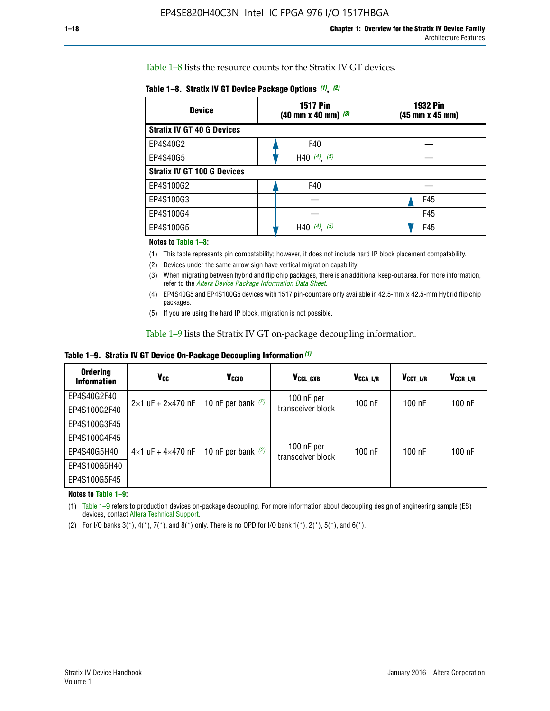Table 1–8 lists the resource counts for the Stratix IV GT devices.

| <b>Device</b>                      | <b>1517 Pin</b><br><b>1932 Pin</b><br>$(40 \text{ mm} \times 40 \text{ mm})$ (3)<br>(45 mm x 45 mm) |     |  |
|------------------------------------|-----------------------------------------------------------------------------------------------------|-----|--|
| <b>Stratix IV GT 40 G Devices</b>  |                                                                                                     |     |  |
| EP4S40G2                           | F40                                                                                                 |     |  |
| EP4S40G5                           | H40 $(4)$ , $(5)$                                                                                   |     |  |
| <b>Stratix IV GT 100 G Devices</b> |                                                                                                     |     |  |
| EP4S100G2                          | F40                                                                                                 |     |  |
| EP4S100G3                          |                                                                                                     | F45 |  |
| EP4S100G4                          |                                                                                                     | F45 |  |
| EP4S100G5                          | H40 $(4)$ $(5)$                                                                                     | F45 |  |

#### **Notes to Table 1–8:**

(1) This table represents pin compatability; however, it does not include hard IP block placement compatability.

- (2) Devices under the same arrow sign have vertical migration capability.
- (3) When migrating between hybrid and flip chip packages, there is an additional keep-out area. For more information, refer to the *[Altera Device Package Information Data Sheet](http://www.altera.com/literature/ds/dspkg.pdf)*.
- (4) EP4S40G5 and EP4S100G5 devices with 1517 pin-count are only available in 42.5-mm x 42.5-mm Hybrid flip chip packages.
- (5) If you are using the hard IP block, migration is not possible.

Table 1–9 lists the Stratix IV GT on-package decoupling information.

**Table 1–9. Stratix IV GT Device On-Package Decoupling Information** *(1)*

| <b>Ordering</b><br><b>Information</b> | Vcc                                 | <b>V<sub>CCIO</sub></b> | V <sub>CCL GXB</sub>            | V <sub>CCA L/R</sub> | V <sub>CCT L/R</sub> | V <sub>CCR L/R</sub> |
|---------------------------------------|-------------------------------------|-------------------------|---------------------------------|----------------------|----------------------|----------------------|
| EP4S40G2F40                           | $2 \times 1$ uF + $2 \times 470$ nF | 10 nF per bank $(2)$    | 100 nF per<br>transceiver block | 100 nF               | $100$ nF             | $100$ nF             |
| EP4S100G2F40                          |                                     |                         |                                 |                      |                      |                      |
| EP4S100G3F45                          |                                     | 10 nF per bank $(2)$    | 100 nF per<br>transceiver block | 100 nF               | $100$ nF             | $100$ nF             |
| EP4S100G4F45                          |                                     |                         |                                 |                      |                      |                      |
| EP4S40G5H40                           | $4 \times 1$ uF + $4 \times 470$ nF |                         |                                 |                      |                      |                      |
| EP4S100G5H40                          |                                     |                         |                                 |                      |                      |                      |
| EP4S100G5F45                          |                                     |                         |                                 |                      |                      |                      |

**Notes to Table 1–9:**

(1) Table 1–9 refers to production devices on-package decoupling. For more information about decoupling design of engineering sample (ES) devices, contact [Altera Technical Support](http://mysupport.altera.com/eservice/login.asp).

(2) For I/O banks  $3(*)$ ,  $4(*)$ ,  $7(*)$ , and  $8(*)$  only. There is no OPD for I/O bank  $1(*)$ ,  $2(*)$ ,  $5(*)$ , and  $6(*)$ .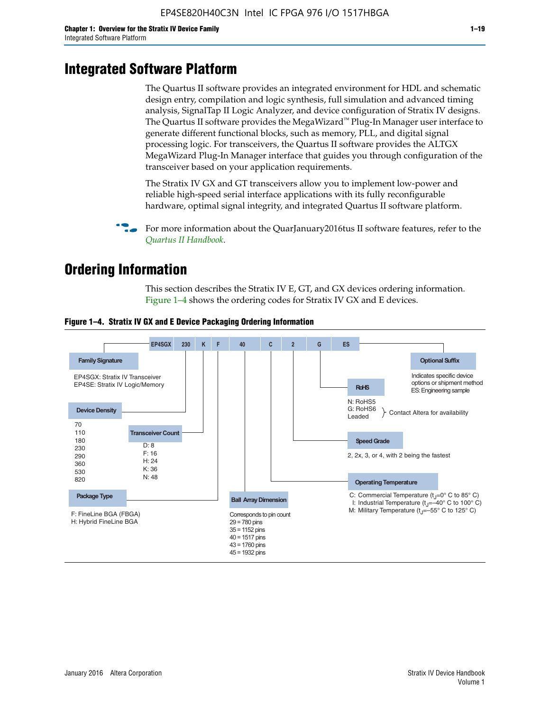# **Integrated Software Platform**

The Quartus II software provides an integrated environment for HDL and schematic design entry, compilation and logic synthesis, full simulation and advanced timing analysis, SignalTap II Logic Analyzer, and device configuration of Stratix IV designs. The Quartus II software provides the MegaWizard<sup> $M$ </sup> Plug-In Manager user interface to generate different functional blocks, such as memory, PLL, and digital signal processing logic. For transceivers, the Quartus II software provides the ALTGX MegaWizard Plug-In Manager interface that guides you through configuration of the transceiver based on your application requirements.

The Stratix IV GX and GT transceivers allow you to implement low-power and reliable high-speed serial interface applications with its fully reconfigurable hardware, optimal signal integrity, and integrated Quartus II software platform.

For more information about the QuarJanuary2016tus II software features, refer to the *[Quartus II Handbook](http://www.altera.com/literature/lit-qts.jsp)*.

# **Ordering Information**

This section describes the Stratix IV E, GT, and GX devices ordering information. Figure 1–4 shows the ordering codes for Stratix IV GX and E devices.



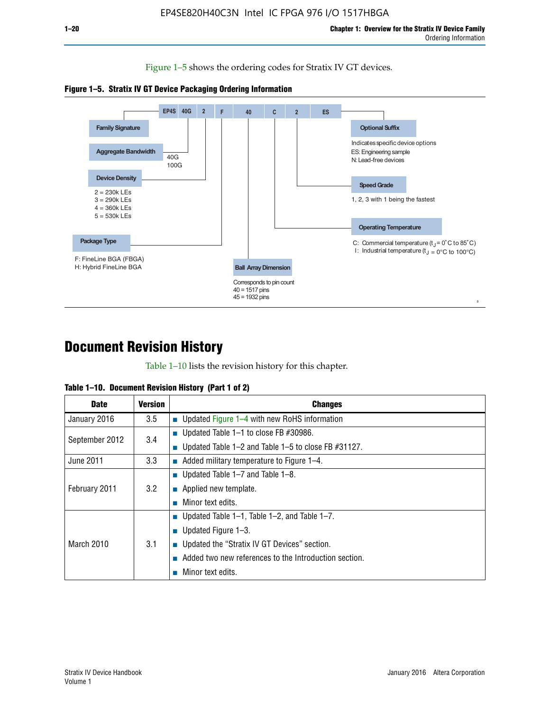Figure 1–5 shows the ordering codes for Stratix IV GT devices.





# **Document Revision History**

Table 1–10 lists the revision history for this chapter.

| Table 1–10. Document Revision History (Part 1 of 2) |  |  |  |  |  |
|-----------------------------------------------------|--|--|--|--|--|
|-----------------------------------------------------|--|--|--|--|--|

| <b>Date</b>       | <b>Version</b> | <b>Changes</b>                                              |
|-------------------|----------------|-------------------------------------------------------------|
| January 2016      | 3.5            | ■ Updated Figure $1-4$ with new RoHS information            |
| September 2012    | 3.4            | ■ Updated Table 1–1 to close FB $#30986$ .                  |
|                   |                | Updated Table $1-2$ and Table $1-5$ to close FB $\#31127$ . |
| June 2011         | 3.3            | $\blacksquare$ Added military temperature to Figure 1–4.    |
| February 2011     | 3.2            | ■ Updated Table 1–7 and Table 1–8.                          |
|                   |                | • Applied new template.                                     |
|                   |                | Minor text edits.                                           |
| <b>March 2010</b> |                | ■ Updated Table 1–1, Table 1–2, and Table 1–7.              |
|                   | 3.1            | ■ Updated Figure $1-3$ .                                    |
|                   |                | Updated the "Stratix IV GT Devices" section.                |
|                   |                | Added two new references to the Introduction section.       |
|                   |                | Minor text edits.                                           |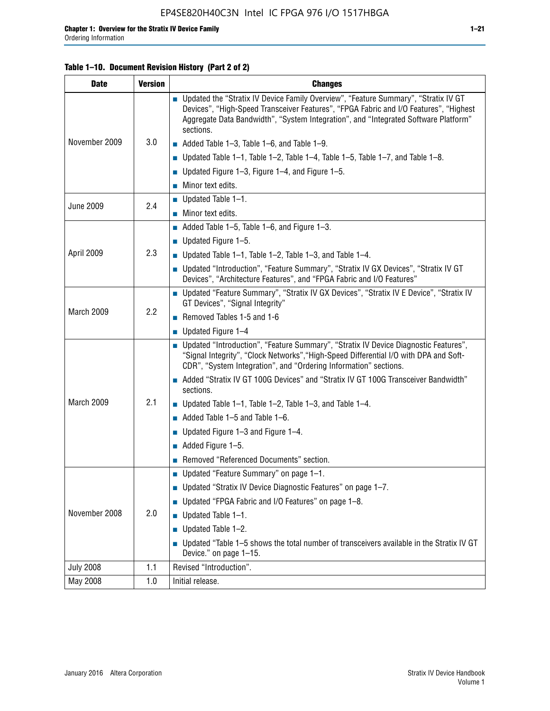## **Table 1–10. Document Revision History (Part 2 of 2)**

| <b>Date</b>      | <b>Version</b> | <b>Changes</b>                                                                                                                                                                                                                                                                    |  |  |
|------------------|----------------|-----------------------------------------------------------------------------------------------------------------------------------------------------------------------------------------------------------------------------------------------------------------------------------|--|--|
|                  |                | ■ Updated the "Stratix IV Device Family Overview", "Feature Summary", "Stratix IV GT<br>Devices", "High-Speed Transceiver Features", "FPGA Fabric and I/O Features", "Highest<br>Aggregate Data Bandwidth", "System Integration", and "Integrated Software Platform"<br>sections. |  |  |
| November 2009    | 3.0            | $\blacksquare$ Added Table 1-3, Table 1-6, and Table 1-9.                                                                                                                                                                                                                         |  |  |
|                  |                | $\blacksquare$ Updated Table 1-1, Table 1-2, Table 1-4, Table 1-5, Table 1-7, and Table 1-8.                                                                                                                                                                                      |  |  |
|                  |                | ■ Updated Figure 1–3, Figure 1–4, and Figure 1–5.                                                                                                                                                                                                                                 |  |  |
|                  |                | $\blacksquare$ Minor text edits.                                                                                                                                                                                                                                                  |  |  |
|                  |                | $\blacksquare$ Updated Table 1-1.                                                                                                                                                                                                                                                 |  |  |
| <b>June 2009</b> | 2.4            | Minor text edits.                                                                                                                                                                                                                                                                 |  |  |
|                  |                | $\blacksquare$ Added Table 1–5, Table 1–6, and Figure 1–3.                                                                                                                                                                                                                        |  |  |
|                  |                | $\blacksquare$ Updated Figure 1-5.                                                                                                                                                                                                                                                |  |  |
| April 2009       | 2.3            | Updated Table $1-1$ , Table $1-2$ , Table $1-3$ , and Table $1-4$ .                                                                                                                                                                                                               |  |  |
|                  |                | ■ Updated "Introduction", "Feature Summary", "Stratix IV GX Devices", "Stratix IV GT<br>Devices", "Architecture Features", and "FPGA Fabric and I/O Features"                                                                                                                     |  |  |
|                  | 2.2            | ■ Updated "Feature Summary", "Stratix IV GX Devices", "Stratix IV E Device", "Stratix IV<br>GT Devices", "Signal Integrity"                                                                                                                                                       |  |  |
| March 2009       |                | Removed Tables 1-5 and 1-6                                                                                                                                                                                                                                                        |  |  |
|                  |                | Updated Figure 1-4                                                                                                                                                                                                                                                                |  |  |
|                  |                | ■ Updated "Introduction", "Feature Summary", "Stratix IV Device Diagnostic Features",<br>"Signal Integrity", "Clock Networks", "High-Speed Differential I/O with DPA and Soft-<br>CDR", "System Integration", and "Ordering Information" sections.                                |  |  |
|                  |                | Added "Stratix IV GT 100G Devices" and "Stratix IV GT 100G Transceiver Bandwidth"<br>sections.                                                                                                                                                                                    |  |  |
| March 2009       | 2.1            | <b>Updated Table 1–1, Table 1–2, Table 1–3, and Table 1–4.</b>                                                                                                                                                                                                                    |  |  |
|                  |                | $\blacksquare$ Added Table 1-5 and Table 1-6.                                                                                                                                                                                                                                     |  |  |
|                  |                | ■ Updated Figure $1-3$ and Figure $1-4$ .                                                                                                                                                                                                                                         |  |  |
|                  |                | $\blacksquare$ Added Figure 1-5.                                                                                                                                                                                                                                                  |  |  |
|                  |                | Removed "Referenced Documents" section.                                                                                                                                                                                                                                           |  |  |
|                  |                | Updated "Feature Summary" on page 1-1.                                                                                                                                                                                                                                            |  |  |
|                  |                | ■ Updated "Stratix IV Device Diagnostic Features" on page 1-7.                                                                                                                                                                                                                    |  |  |
| November 2008    |                | Updated "FPGA Fabric and I/O Features" on page 1-8.                                                                                                                                                                                                                               |  |  |
|                  | 2.0            | $\blacksquare$ Updated Table 1-1.                                                                                                                                                                                                                                                 |  |  |
|                  |                | Updated Table 1-2.                                                                                                                                                                                                                                                                |  |  |
|                  |                | Updated "Table 1-5 shows the total number of transceivers available in the Stratix IV GT<br>Device." on page 1-15.                                                                                                                                                                |  |  |
| <b>July 2008</b> | 1.1            | Revised "Introduction".                                                                                                                                                                                                                                                           |  |  |
| May 2008         | 1.0            | Initial release.                                                                                                                                                                                                                                                                  |  |  |